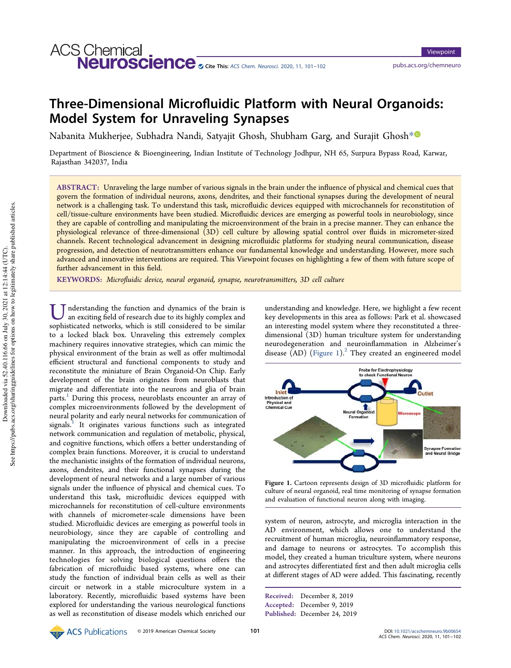# **ACS Chemical**. Neuroscience <sub>⊗ Cite This: ACS Chem. Neurosci. 2020, 11, 101–102</sub> pubs.acs.org/chemneuro

Viewpoint

## Three-Dimensional Microfluidic Platform with Neural Organoids: Model System for Unraveling Synapses

Nabanita Mukherjee, Subhadra Nandi, Satyajit Ghosh, Shubham Garg, and Surajit Ghosh\*

Department of Bioscience & Bioengineering, Indian Institute of Technology Jodhpur, NH 65, Surpura Bypass Road, Karwar, Rajasthan 342037, India

ABSTRACT: Unraveling the large number of various signals in the brain under the influence of physical and chemical cues that govern the formation of individual neurons, axons, dendrites, and their functional synapses during the development of neural network is a challenging task. To understand this task, microfluidic devices equipped with microchannels for reconstitution of cell/tissue-culture environments have been studied. Microfluidic devices are emerging as powerful tools in neurobiology, since they are capable of controlling and manipulating the microenvironment of the brain in a precise manner. They can enhance the physiological relevance of three-dimensional (3D) cell culture by allowing spatial control over fluids in micrometer-sized channels. Recent technological advancement in designing microfluidic platforms for studying neural communication, disease progression, and detection of neurotransmitters enhance our fundamental knowledge and understanding. However, more such advanced and innovative interventions are required. This Viewpoint focuses on highlighting a few of them with future scope of further advancement in this field.

KEYWORDS: Microfluidic device, neural organoid, synapse, neurotransmitters, 3D cell culture

U nderstanding the function and dynamics of the brain is an exciting field of research due to its highly complex and sophisticated networks, which is still considered to be similar nderstanding the function and dynamics of the brain is an exciting field of research due to its highly complex and to a locked black box. Unraveling this extremely complex machinery requires innovative strategies, which can mimic the physical environment of the brain as well as offer multimodal efficient structural and functional components to study and reconstitute the miniature of Brain Organoid-On Chip. Early development of the brain originates from neuroblasts that migrate and differentiate into the neurons and glia of brain parts.<sup>1</sup> During this process, neuroblasts encounter an array of complex microenvironments followed by the development of neural polarity and early neural networks for communication of signals.<sup>1</sup> It originates various functions such as integrated network communication and regulation of metabolic, physical, and cognitive functions, which offers a better understanding of complex brain functions. Moreover, it is crucial to understand the mechanistic insights of the formation of individual neurons, axons, dendrites, and their functional synapses during the development of neural networks and a large number of various signals under the influence of physical and chemical cues. To understand this task, microfluidic devices equipped with microchannels for reconstitution of cell-culture environments with channels of micrometer-scale dimensions have been studied. Microfluidic devices are emerging as powerful tools in neurobiology, since they are capable of controlling and manipulating the microenvironment of cells in a precise manner. In this approach, the introduction of engineering technologies for solving biological questions offers the fabrication of microfluidic based systems, where one can study the function of individual brain cells as well as their circuit or network in a stable microculture system in a laboratory. Recently, microfluidic based systems have been explored for understanding the various neurological functions as well as reconstitution of disease models which enriched our

understanding and knowledge. Here, we highlight a few recent key developments in this area as follows: Park et al. showcased an interesting model system where they reconstituted a threedimensional (3D) human triculture system for understanding neurodegeneration and neuroinflammation in Alzheimer's disease  $(AD)$  (Figure 1).<sup>2</sup> They created an engineered model



Figure 1. Cartoon represents design of 3D microfluidic platform for culture of neural organoid, real time monitoring of synapse formation and evaluation of functional neuron along with imaging.

system of neuron, astrocyte, and microglia interaction in the AD environment, which allows one to understand the recruitment of human microglia, neuroinflammatory response, and damage to neurons or astrocytes. To accomplish this model, they created a human triculture system, where neurons and astrocytes differentiated first and then adult microglia cells at different stages of AD were added. This fascinating, recently

Received: December 8, 2019 Accepted: December 9, 2019 Published: December 24, 2019